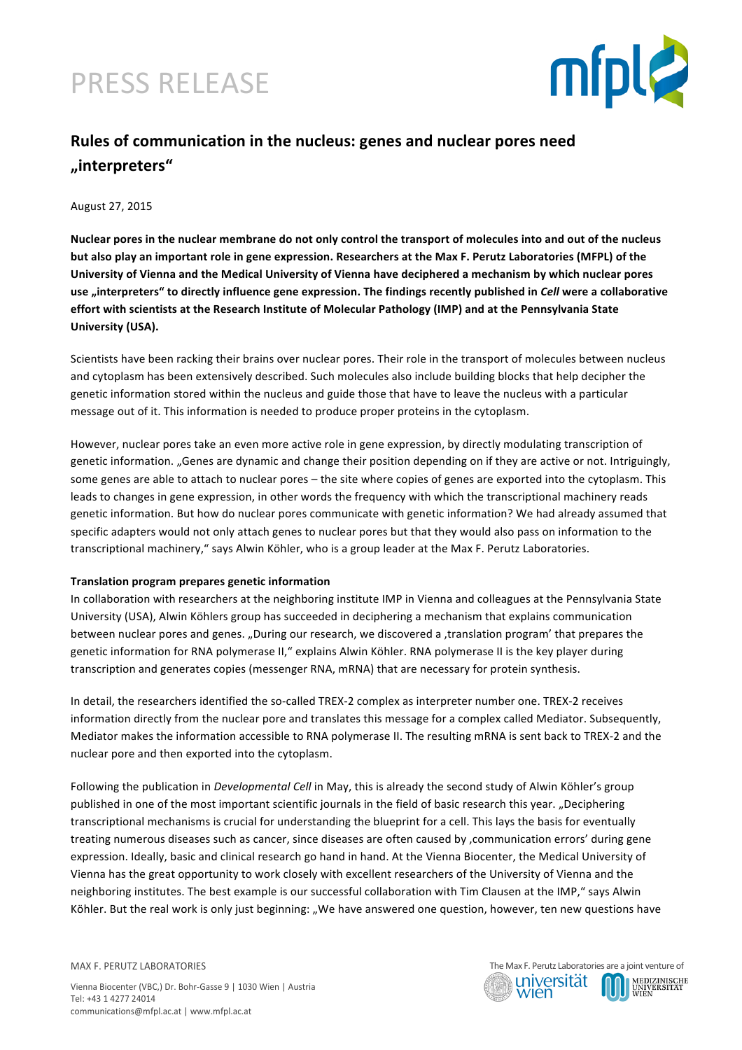# PRESS RELEASE



### Rules of communication in the nucleus: genes and nuclear pores need **"interpreters"**

August 27, 2015

Nuclear pores in the nuclear membrane do not only control the transport of molecules into and out of the nucleus but also play an important role in gene expression. Researchers at the Max F. Perutz Laboratories (MFPL) of the University of Vienna and the Medical University of Vienna have deciphered a mechanism by which nuclear pores use "interpreters" to directly influence gene expression. The findings recently published in *Cell* were a collaborative effort with scientists at the Research Institute of Molecular Pathology (IMP) and at the Pennsylvania State **University (USA).** 

Scientists have been racking their brains over nuclear pores. Their role in the transport of molecules between nucleus and cytoplasm has been extensively described. Such molecules also include building blocks that help decipher the genetic information stored within the nucleus and guide those that have to leave the nucleus with a particular message out of it. This information is needed to produce proper proteins in the cytoplasm.

However, nuclear pores take an even more active role in gene expression, by directly modulating transcription of genetic information. "Genes are dynamic and change their position depending on if they are active or not. Intriguingly, some genes are able to attach to nuclear pores – the site where copies of genes are exported into the cytoplasm. This leads to changes in gene expression, in other words the frequency with which the transcriptional machinery reads genetic information. But how do nuclear pores communicate with genetic information? We had already assumed that specific adapters would not only attach genes to nuclear pores but that they would also pass on information to the transcriptional machinery," says Alwin Köhler, who is a group leader at the Max F. Perutz Laboratories.

#### **Translation program prepares genetic information**

In collaboration with researchers at the neighboring institute IMP in Vienna and colleagues at the Pennsylvania State University (USA), Alwin Köhlers group has succeeded in deciphering a mechanism that explains communication between nuclear pores and genes. "During our research, we discovered a ,translation program' that prepares the genetic information for RNA polymerase II," explains Alwin Köhler. RNA polymerase II is the key player during transcription and generates copies (messenger RNA, mRNA) that are necessary for protein synthesis.

In detail, the researchers identified the so-called TREX-2 complex as interpreter number one. TREX-2 receives information directly from the nuclear pore and translates this message for a complex called Mediator. Subsequently, Mediator makes the information accessible to RNA polymerase II. The resulting mRNA is sent back to TREX-2 and the nuclear pore and then exported into the cytoplasm.

Following the publication in *Developmental Cell* in May, this is already the second study of Alwin Köhler's group published in one of the most important scientific journals in the field of basic research this year. "Deciphering transcriptional mechanisms is crucial for understanding the blueprint for a cell. This lays the basis for eventually treating numerous diseases such as cancer, since diseases are often caused by , communication errors' during gene expression. Ideally, basic and clinical research go hand in hand. At the Vienna Biocenter, the Medical University of Vienna has the great opportunity to work closely with excellent researchers of the University of Vienna and the neighboring institutes. The best example is our successful collaboration with Tim Clausen at the IMP," says Alwin Köhler. But the real work is only just beginning: "We have answered one question, however, ten new questions have

MAX F. PERUTZ LABORATORIES

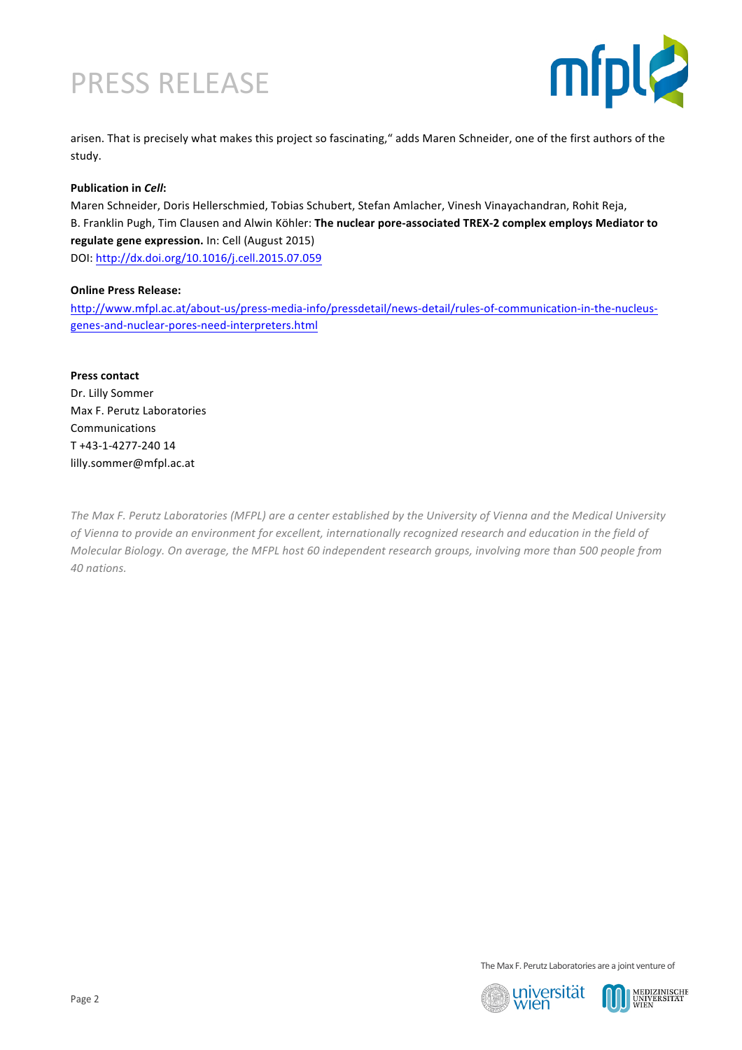# PRESS RELEASE



arisen. That is precisely what makes this project so fascinating," adds Maren Schneider, one of the first authors of the study.

### **Publication in Cell:**

Maren Schneider, Doris Hellerschmied, Tobias Schubert, Stefan Amlacher, Vinesh Vinayachandran, Rohit Reja, B. Franklin Pugh, Tim Clausen and Alwin Köhler: The nuclear pore-associated TREX-2 complex employs Mediator to **regulate gene expression.** In: Cell (August 2015) DOI: http://dx.doi.org/10.1016/j.cell.2015.07.059

#### **Online Press Release:**

http://www.mfpl.ac.at/about-us/press-media-info/pressdetail/news-detail/rules-of-communication-in-the-nucleusgenes-and-nuclear-pores-need-interpreters.html

**Press contact** Dr. Lilly Sommer Max F. Perutz Laboratories Communications T +43-1-4277-240 14 lilly.sommer@mfpl.ac.at

The Max F. Perutz Laboratories (MFPL) are a center established by the University of Vienna and the Medical University of Vienna to provide an environment for excellent, internationally recognized research and education in the field of *Molecular Biology. On average, the MFPL host 60 independent research groups, involving more than 500 people from 40 nations.*

The Max F. Perutz Laboratories are a joint venture of